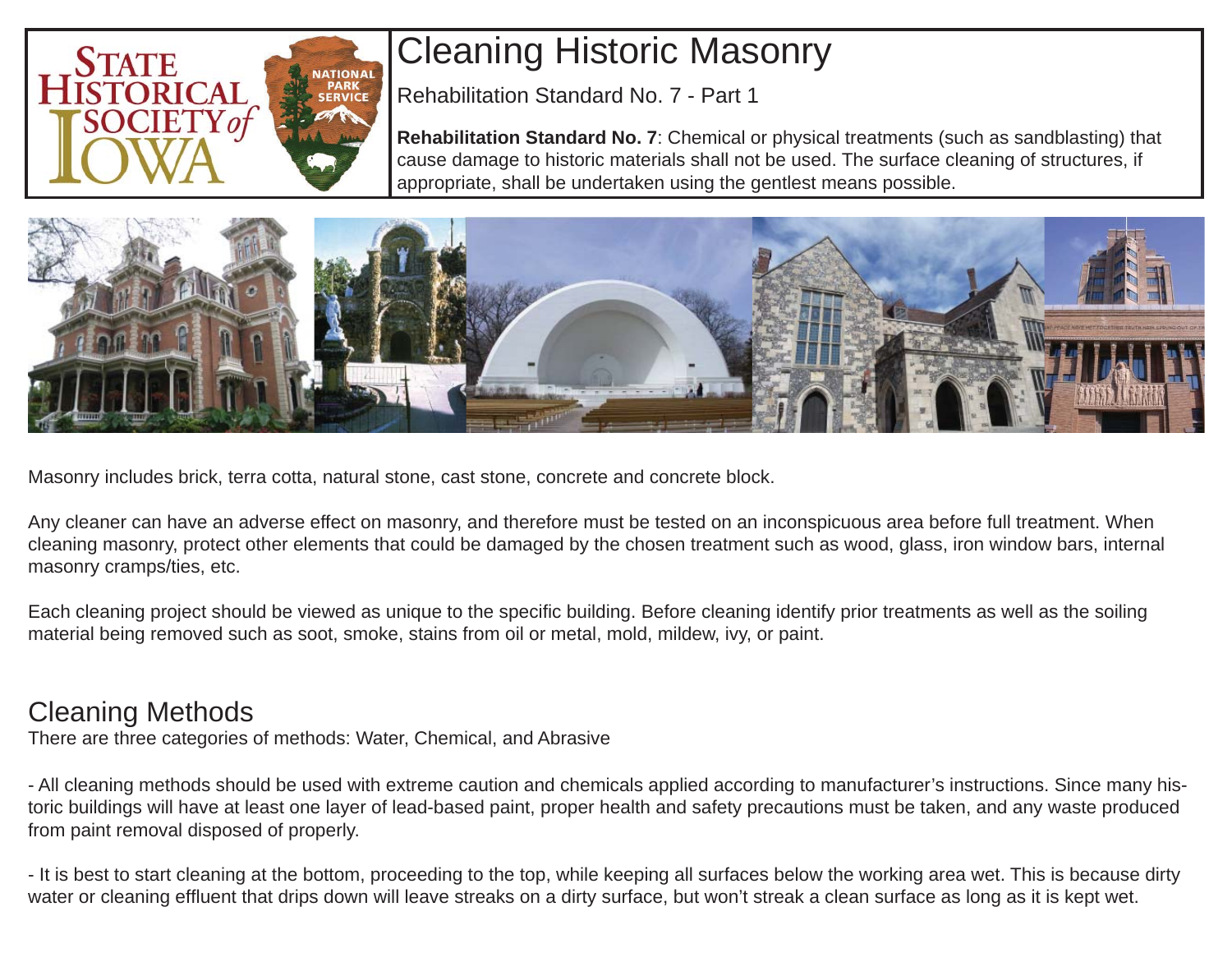

# Cleaning Historic Masonry

Rehabilitation Standard No. 7 - Part 1

**Rehabilitation Standard No. 7**: Chemical or physical treatments (such as sandblasting) that cause damage to historic materials shall not be used. The surface cleaning of structures, if appropriate, shall be undertaken using the gentlest means possible.



Masonry includes brick, terra cotta, natural stone, cast stone, concrete and concrete block.

Any cleaner can have an adverse effect on masonry, and therefore must be tested on an inconspicuous area before full treatment. When cleaning masonry, protect other elements that could be damaged by the chosen treatment such as wood, glass, iron window bars, internal masonry cramps/ties, etc.

Each cleaning project should be viewed as unique to the specific building. Before cleaning identify prior treatments as well as the soiling material being removed such as soot, smoke, stains from oil or metal, mold, mildew, ivy, or paint.

## Cleaning Methods

There are three categories of methods: Water, Chemical, and Abrasive

- All cleaning methods should be used with extreme caution and chemicals applied according to manufacturer's instructions. Since many historic buildings will have at least one layer of lead-based paint, proper health and safety precautions must be taken, and any waste produced from paint removal disposed of properly.

- It is best to start cleaning at the bottom, proceeding to the top, while keeping all surfaces below the working area wet. This is because dirty water or cleaning effluent that drips down will leave streaks on a dirty surface, but won't streak a clean surface as long as it is kept wet.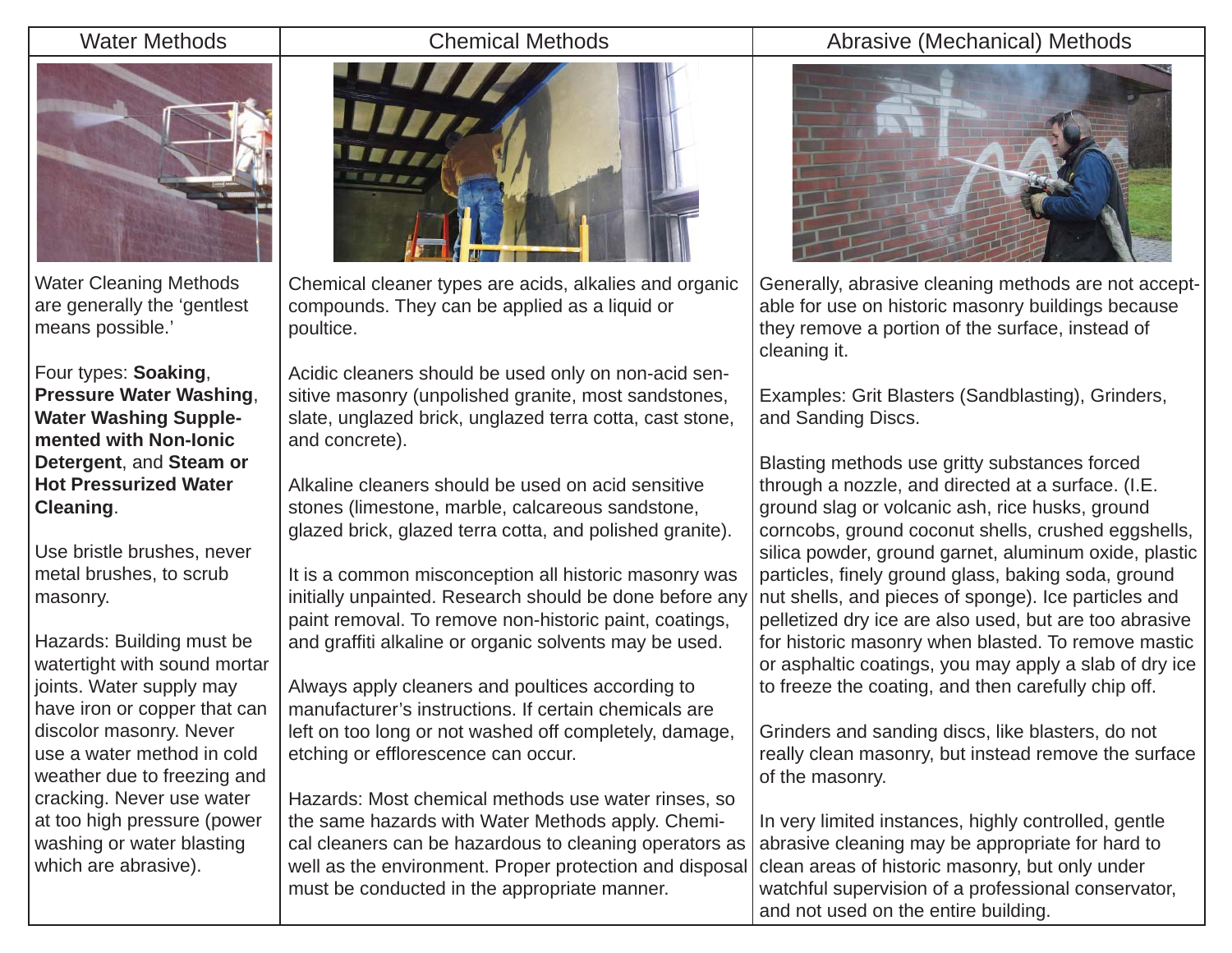### Water Methods **Chemical Methods**



Water Cleaning Methods are generally the 'gentlest means possible.'

Four types: **Soaking**, **Pressure Water Washing**, **Water Washing Supplemented with Non-Ionic Detergent**, and **Steam or Hot Pressurized Water Cleaning**.

Use bristle brushes, never metal brushes, to scrub masonry.

Hazards: Building must be watertight with sound mortar joints. Water supply may have iron or copper that can discolor masonry. Never use a water method in cold weather due to freezing and cracking. Never use water at too high pressure (power washing or water blasting which are abrasive).



Chemical cleaner types are acids, alkalies and organic compounds. They can be applied as a liquid or poultice.

Acidic cleaners should be used only on non-acid sensitive masonry (unpolished granite, most sandstones, slate, unglazed brick, unglazed terra cotta, cast stone, and concrete).

Alkaline cleaners should be used on acid sensitive stones (limestone, marble, calcareous sandstone, glazed brick, glazed terra cotta, and polished granite).

It is a common misconception all historic masonry was initially unpainted. Research should be done before any paint removal. To remove non-historic paint, coatings, and graffiti alkaline or organic solvents may be used.

Always apply cleaners and poultices according to manufacturer's instructions. If certain chemicals are left on too long or not washed off completely, damage, etching or efflorescence can occur.

Hazards: Most chemical methods use water rinses, so the same hazards with Water Methods apply. Chemical cleaners can be hazardous to cleaning operators as well as the environment. Proper protection and disposal must be conducted in the appropriate manner.

### Abrasive (Mechanical) Methods



Generally, abrasive cleaning methods are not acceptable for use on historic masonry buildings because they remove a portion of the surface, instead of cleaning it.

Examples: Grit Blasters (Sandblasting), Grinders, and Sanding Discs.

Blasting methods use gritty substances forced through a nozzle, and directed at a surface. (I.E. ground slag or volcanic ash, rice husks, ground corncobs, ground coconut shells, crushed eggshells, silica powder, ground garnet, aluminum oxide, plastic particles, finely ground glass, baking soda, ground nut shells, and pieces of sponge). Ice particles and pelletized dry ice are also used, but are too abrasive for historic masonry when blasted. To remove mastic or asphaltic coatings, you may apply a slab of dry ice to freeze the coating, and then carefully chip off.

Grinders and sanding discs, like blasters, do not really clean masonry, but instead remove the surface of the masonry.

In very limited instances, highly controlled, gentle abrasive cleaning may be appropriate for hard to clean areas of historic masonry, but only under watchful supervision of a professional conservator, and not used on the entire building.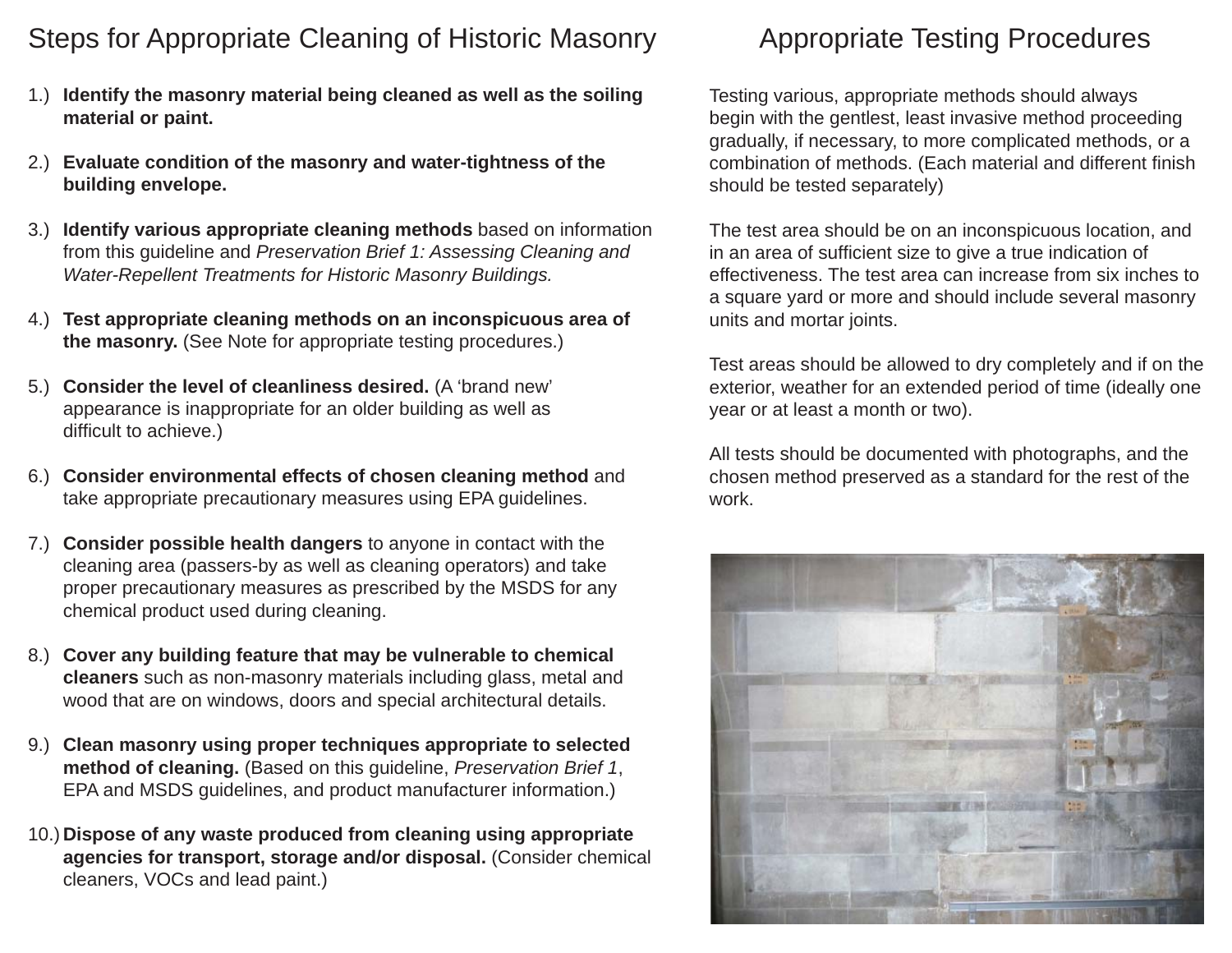## Steps for Appropriate Cleaning of Historic Masonry Appropriate Testing Procedures

- **Identify the masonry material being cleaned as well as the soiling**  1.) **material or paint.**
- **Evaluate condition of the masonry and water-tightness of the**  2.) **building envelope.**
- **Identify various appropriate cleaning methods** based on information 3.) from this guideline and *Preservation Brief 1: Assessing Cleaning and Water-Repellent Treatments for Historic Masonry Buildings.*
- **Test appropriate cleaning methods on an inconspicuous area of**  4.) **the masonry.** (See Note for appropriate testing procedures.)
- **Consider the level of cleanliness desired.** (A 'brand new' 5.) appearance is inappropriate for an older building as well as difficult to achieve.)
- **Consider environmental effects of chosen cleaning method** and 6.) take appropriate precautionary measures using EPA guidelines.
- **Consider possible health dangers** to anyone in contact with the 7.) cleaning area (passers-by as well as cleaning operators) and take proper precautionary measures as prescribed by the MSDS for any chemical product used during cleaning.
- **Cover any building feature that may be vulnerable to chemical**  8.) **cleaners** such as non-masonry materials including glass, metal and wood that are on windows, doors and special architectural details.
- **Clean masonry using proper techniques appropriate to selected**  9.) **method of cleaning.** (Based on this guideline, *Preservation Brief 1*, EPA and MSDS guidelines, and product manufacturer information.)
- **Dispose of any waste produced from cleaning using appropriate**  10.)**agencies for transport, storage and/or disposal.** (Consider chemical cleaners, VOCs and lead paint.)

Testing various, appropriate methods should always begin with the gentlest, least invasive method proceeding gradually, if necessary, to more complicated methods, or a combination of methods. (Each material and different finish should be tested separately)

The test area should be on an inconspicuous location, and in an area of suf fi cient size to give a true indication of effectiveness. The test area can increase from six inches to a square yard or more and should include several masonry units and mortar joints.

Test areas should be allowed to dry completely and if on the exterior, weather for an extended period of time (ideally one year or at least a month or two).

All tests should be documented with photographs, and the chosen method preserved as a standard for the rest of the work.

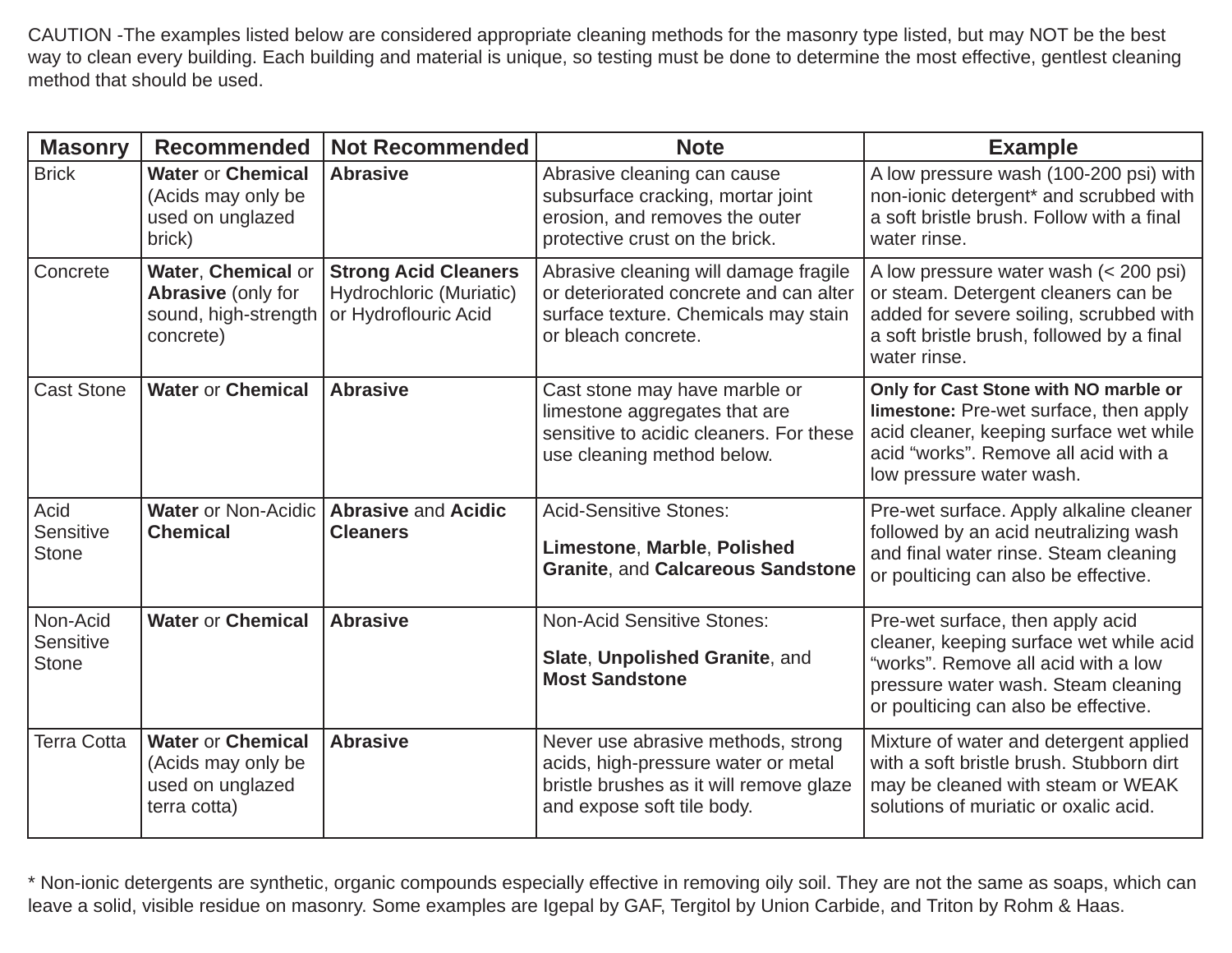CAUTION -The examples listed below are considered appropriate cleaning methods for the masonry type listed, but may NOT be the best way to clean every building. Each building and material is unique, so testing must be done to determine the most effective, gentlest cleaning method that should be used.

| <b>Masonry</b>                        | <b>Recommended</b>                                                                   | <b>Not Recommended</b>                                                         | <b>Note</b>                                                                                                                                        | <b>Example</b>                                                                                                                                                                                    |
|---------------------------------------|--------------------------------------------------------------------------------------|--------------------------------------------------------------------------------|----------------------------------------------------------------------------------------------------------------------------------------------------|---------------------------------------------------------------------------------------------------------------------------------------------------------------------------------------------------|
| <b>Brick</b>                          | <b>Water or Chemical</b><br>(Acids may only be<br>used on unglazed<br>brick)         | <b>Abrasive</b>                                                                | Abrasive cleaning can cause<br>subsurface cracking, mortar joint<br>erosion, and removes the outer<br>protective crust on the brick.               | A low pressure wash (100-200 psi) with<br>non-ionic detergent* and scrubbed with<br>a soft bristle brush. Follow with a final<br>water rinse.                                                     |
| Concrete                              | Water, Chemical or<br><b>Abrasive (only for</b><br>sound, high-strength<br>concrete) | <b>Strong Acid Cleaners</b><br>Hydrochloric (Muriatic)<br>or Hydroflouric Acid | Abrasive cleaning will damage fragile<br>or deteriorated concrete and can alter<br>surface texture. Chemicals may stain<br>or bleach concrete.     | A low pressure water wash (< 200 psi)<br>or steam. Detergent cleaners can be<br>added for severe soiling, scrubbed with<br>a soft bristle brush, followed by a final<br>water rinse.              |
| <b>Cast Stone</b>                     | <b>Water or Chemical</b>                                                             | <b>Abrasive</b>                                                                | Cast stone may have marble or<br>limestone aggregates that are<br>sensitive to acidic cleaners. For these<br>use cleaning method below.            | Only for Cast Stone with NO marble or<br>limestone: Pre-wet surface, then apply<br>acid cleaner, keeping surface wet while<br>acid "works". Remove all acid with a<br>low pressure water wash.    |
| Acid<br>Sensitive<br><b>Stone</b>     | <b>Water or Non-Acidic</b><br><b>Chemical</b>                                        | <b>Abrasive and Acidic</b><br><b>Cleaners</b>                                  | <b>Acid-Sensitive Stones:</b><br>Limestone, Marble, Polished<br><b>Granite, and Calcareous Sandstone</b>                                           | Pre-wet surface. Apply alkaline cleaner<br>followed by an acid neutralizing wash<br>and final water rinse. Steam cleaning<br>or poulticing can also be effective.                                 |
| Non-Acid<br>Sensitive<br><b>Stone</b> | <b>Water or Chemical</b>                                                             | <b>Abrasive</b>                                                                | <b>Non-Acid Sensitive Stones:</b><br>Slate, Unpolished Granite, and<br><b>Most Sandstone</b>                                                       | Pre-wet surface, then apply acid<br>cleaner, keeping surface wet while acid<br>"works". Remove all acid with a low<br>pressure water wash. Steam cleaning<br>or poulticing can also be effective. |
| <b>Terra Cotta</b>                    | <b>Water or Chemical</b><br>(Acids may only be<br>used on unglazed<br>terra cotta)   | <b>Abrasive</b>                                                                | Never use abrasive methods, strong<br>acids, high-pressure water or metal<br>bristle brushes as it will remove glaze<br>and expose soft tile body. | Mixture of water and detergent applied<br>with a soft bristle brush. Stubborn dirt<br>may be cleaned with steam or WEAK<br>solutions of muriatic or oxalic acid.                                  |

\* Non-ionic detergents are synthetic, organic compounds especially effective in removing oily soil. They are not the same as soaps, which can leave a solid, visible residue on masonry. Some examples are Igepal by GAF, Tergitol by Union Carbide, and Triton by Rohm & Haas.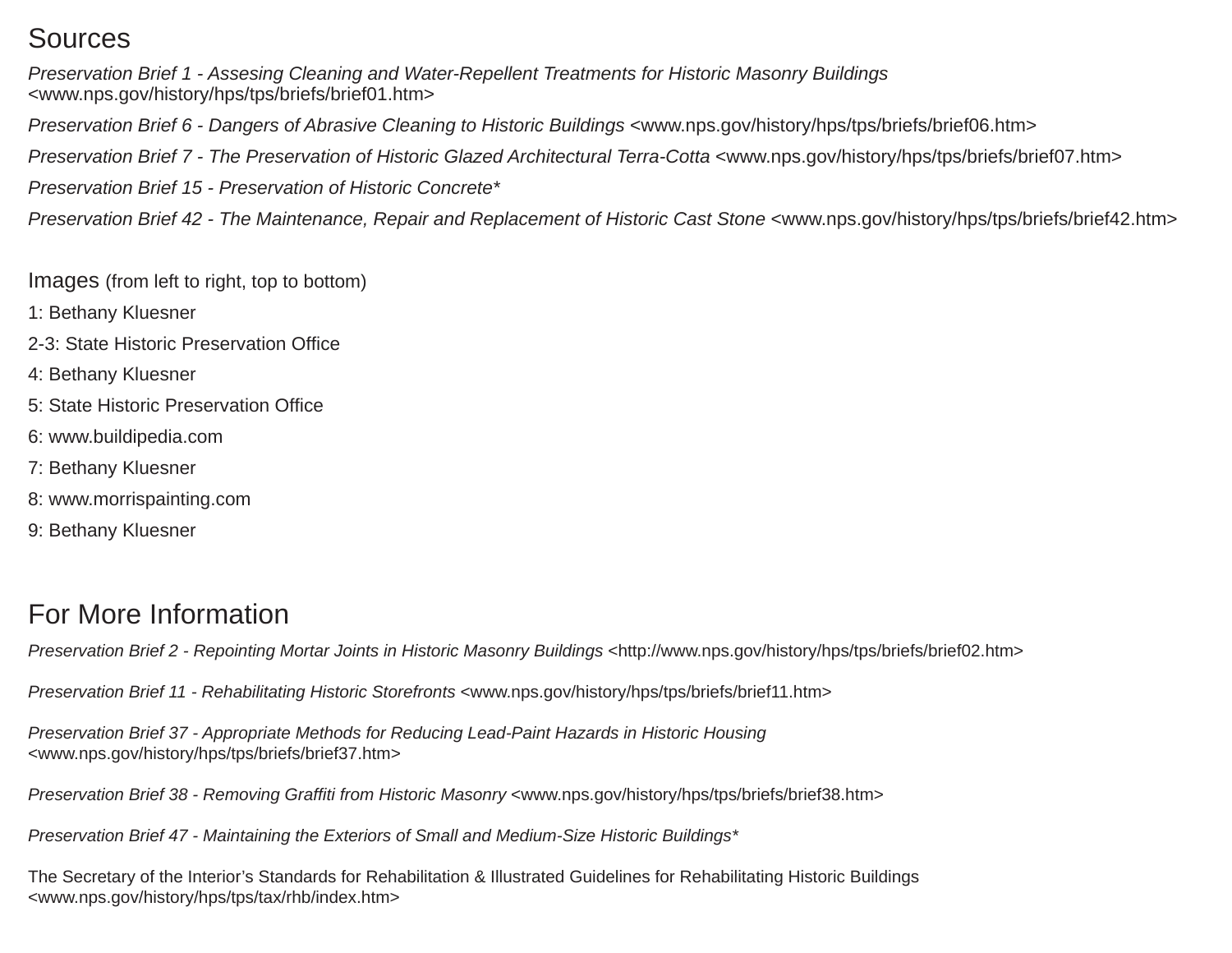## Sources

*Preservation Brief 1 - Assesing Cleaning and Water-Repellent Treatments for Historic Masonry Buildings*  <www.nps.gov/history/hps/tps/briefs/brief01.htm> *Preservation Brief 6 - Dangers of Abrasive Cleaning to Historic Buildings <www.nps.gov/history/hps/tps/briefs/brief06.htm> Preservation Brief 7 - The Preservation of Historic Glazed Architectural Terra-Cotta <www.nps.gov/history/hps/tps/briefs/brief07.htm>* 

*Preservation Brief 15 - Preservation of Historic Concrete\**

*Preservation Brief 42 - The Maintenance, Repair and Replacement of Historic Cast Stone <www.nps.gov/history/hps/tps/briefs/brief42.htm>* 

Images (from left to right, top to bottom)

- 1: Bethany Kluesner
- 2-3: State Historic Preservation Office
- 4: Bethany Kluesner
- 5: State Historic Preservation Office
- 6: www.buildipedia.com
- 7: Bethany Kluesner
- 8: www.morrispainting.com
- 9: Bethany Kluesner

## For More Information

*Preservation Brief 2 - Repointing Mortar Joints in Historic Masonry Buildings <http://www.nps.gov/history/hps/tps/briefs/brief02.htm>* 

*Preservation Brief 11 - Rehabilitating Historic Storefronts <www.nps.gov/history/hps/tps/briefs/brief11.htm>* 

*Preservation Brief 37 - Appropriate Methods for Reducing Lead-Paint Hazards in Historic Housing*  <www.nps.gov/history/hps/tps/briefs/brief37.htm>

*Preservation Brief 38 - Removing Graffiti from Historic Masonry <www.nps.gov/history/hps/tps/briefs/brief38.htm>* 

*Preservation Brief 47 - Maintaining the Exteriors of Small and Medium-Size Historic Buildings\**

The Secretary of the Interior's Standards for Rehabilitation & Illustrated Guidelines for Rehabilitating Historic Buildings <www.nps.gov/history/hps/tps/tax/rhb/index.htm>